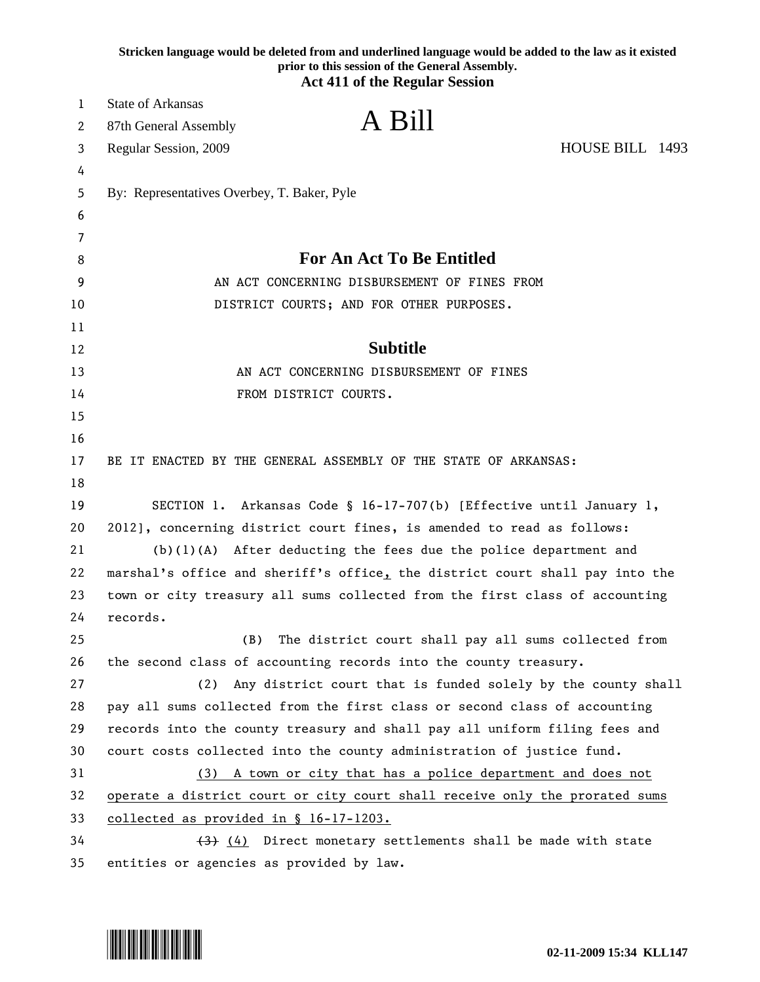|    | Stricken language would be deleted from and underlined language would be added to the law as it existed<br>prior to this session of the General Assembly.<br><b>Act 411 of the Regular Session</b> |
|----|----------------------------------------------------------------------------------------------------------------------------------------------------------------------------------------------------|
| 1  | <b>State of Arkansas</b>                                                                                                                                                                           |
| 2  | A Bill<br>87th General Assembly                                                                                                                                                                    |
| 3  | HOUSE BILL 1493<br>Regular Session, 2009                                                                                                                                                           |
| 4  |                                                                                                                                                                                                    |
| 5  | By: Representatives Overbey, T. Baker, Pyle                                                                                                                                                        |
| 6  |                                                                                                                                                                                                    |
| 7  |                                                                                                                                                                                                    |
| 8  | <b>For An Act To Be Entitled</b>                                                                                                                                                                   |
| 9  | AN ACT CONCERNING DISBURSEMENT OF FINES FROM                                                                                                                                                       |
| 10 | DISTRICT COURTS; AND FOR OTHER PURPOSES.                                                                                                                                                           |
| 11 |                                                                                                                                                                                                    |
| 12 | <b>Subtitle</b>                                                                                                                                                                                    |
| 13 | AN ACT CONCERNING DISBURSEMENT OF FINES                                                                                                                                                            |
| 14 | FROM DISTRICT COURTS.                                                                                                                                                                              |
| 15 |                                                                                                                                                                                                    |
| 16 |                                                                                                                                                                                                    |
| 17 | BE IT ENACTED BY THE GENERAL ASSEMBLY OF THE STATE OF ARKANSAS:                                                                                                                                    |
| 18 |                                                                                                                                                                                                    |
| 19 | SECTION 1. Arkansas Code § 16-17-707(b) [Effective until January 1,                                                                                                                                |
| 20 | 2012], concerning district court fines, is amended to read as follows:                                                                                                                             |
| 21 | $(b)(1)(A)$ After deducting the fees due the police department and                                                                                                                                 |
| 22 | marshal's office and sheriff's office, the district court shall pay into the                                                                                                                       |
| 23 | town or city treasury all sums collected from the first class of accounting                                                                                                                        |
| 24 | records.                                                                                                                                                                                           |
| 25 | (B)<br>The district court shall pay all sums collected from                                                                                                                                        |
| 26 | the second class of accounting records into the county treasury.                                                                                                                                   |
| 27 | (2)<br>Any district court that is funded solely by the county shall                                                                                                                                |
| 28 | pay all sums collected from the first class or second class of accounting                                                                                                                          |
| 29 | records into the county treasury and shall pay all uniform filing fees and                                                                                                                         |
| 30 | court costs collected into the county administration of justice fund.                                                                                                                              |
| 31 | (3) A town or city that has a police department and does not                                                                                                                                       |
| 32 | operate a district court or city court shall receive only the prorated sums                                                                                                                        |
| 33 | collected as provided in § 16-17-1203.                                                                                                                                                             |
| 34 | (4) Direct monetary settlements shall be made with state                                                                                                                                           |
| 35 | entities or agencies as provided by law.                                                                                                                                                           |

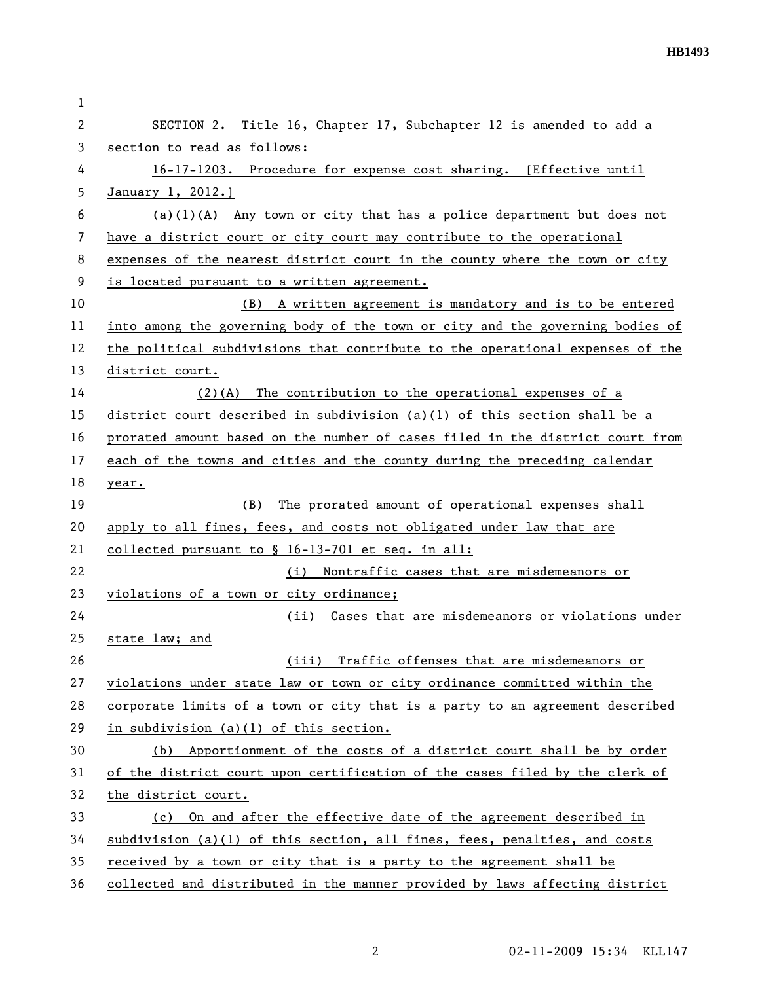| 1  |                                                                               |
|----|-------------------------------------------------------------------------------|
| 2  | SECTION 2. Title 16, Chapter 17, Subchapter 12 is amended to add a            |
| 3  | section to read as follows:                                                   |
| 4  | 16-17-1203. Procedure for expense cost sharing. [Effective until              |
| 5  | January 1, 2012.]                                                             |
| 6  | $(a)(1)(A)$ Any town or city that has a police department but does not        |
| 7  | have a district court or city court may contribute to the operational         |
| 8  | expenses of the nearest district court in the county where the town or city   |
| 9  | is located pursuant to a written agreement.                                   |
| 10 | (B) A written agreement is mandatory and is to be entered                     |
| 11 | into among the governing body of the town or city and the governing bodies of |
| 12 | the political subdivisions that contribute to the operational expenses of the |
| 13 | district court.                                                               |
| 14 | The contribution to the operational expenses of a<br>$(2)$ (A)                |
| 15 | district court described in subdivision $(a)(1)$ of this section shall be a   |
| 16 | prorated amount based on the number of cases filed in the district court from |
| 17 | each of the towns and cities and the county during the preceding calendar     |
| 18 | year.                                                                         |
| 19 | The prorated amount of operational expenses shall<br>(B)                      |
| 20 | apply to all fines, fees, and costs not obligated under law that are          |
| 21 | collected pursuant to $\S$ 16-13-701 et seq. in all:                          |
| 22 | Nontraffic cases that are misdemeanors or<br>(i)                              |
| 23 | violations of a town or city ordinance;                                       |
| 24 | Cases that are misdemeanors or violations under<br>(ii)                       |
| 25 | state law; and                                                                |
| 26 | Traffic offenses that are misdemeanors or<br>(iii)                            |
| 27 | violations under state law or town or city ordinance committed within the     |
| 28 | corporate limits of a town or city that is a party to an agreement described  |
| 29 | in subdivision (a)(1) of this section.                                        |
| 30 | (b) Apportionment of the costs of a district court shall be by order          |
| 31 | of the district court upon certification of the cases filed by the clerk of   |
| 32 | the district court.                                                           |
| 33 | On and after the effective date of the agreement described in<br>(c)          |
| 34 | subdivision (a)(1) of this section, all fines, fees, penalties, and costs     |
| 35 | received by a town or city that is a party to the agreement shall be          |
| 36 | collected and distributed in the manner provided by laws affecting district   |